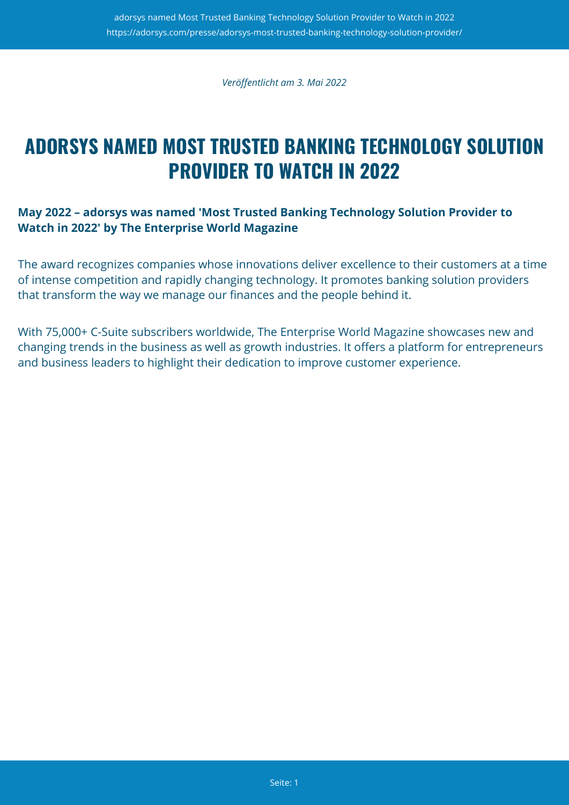*Veröffentlicht am 3. Mai 2022*

# **ADORSYS NAMED MOST TRUSTED BANKING TECHNOLOGY SOLUTION PROVIDER TO WATCH IN 2022**

## **May 2022 – adorsys was named 'Most Trusted Banking Technology Solution Provider to Watch in 2022' by The Enterprise World Magazine**

The award recognizes companies whose innovations deliver excellence to their customers at a time of intense competition and rapidly changing technology. It promotes banking solution providers that transform the way we manage our finances and the people behind it.

With 75,000+ C-Suite subscribers worldwide, The Enterprise World Magazine showcases new and changing trends in the business as well as growth industries. It offers a platform for entrepreneurs and business leaders to highlight their dedication to improve customer experience.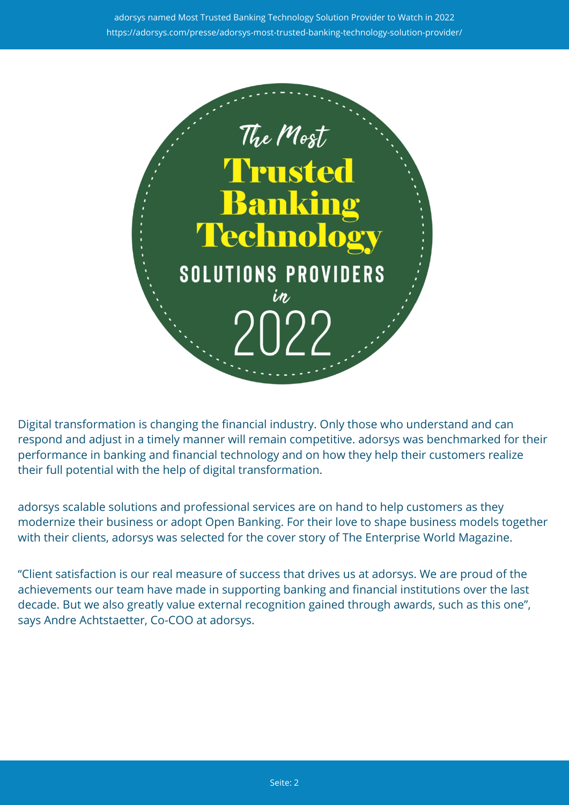

Digital transformation is changing the financial industry. Only those who understand and can respond and adjust in a timely manner will remain competitive. adorsys was benchmarked for their performance in banking and financial technology and on how they help their customers realize their full potential with the help of digital transformation.

adorsys scalable solutions and professional services are on hand to help customers as they modernize their business or adopt Open Banking. For their love to shape business models together with their clients, adorsys was selected for the cover story of The Enterprise World Magazine.

"Client satisfaction is our real measure of success that drives us at adorsys. We are proud of the achievements our team have made in supporting banking and financial institutions over the last decade. But we also greatly value external recognition gained through awards, such as this one", says Andre Achtstaetter, Co-COO at adorsys.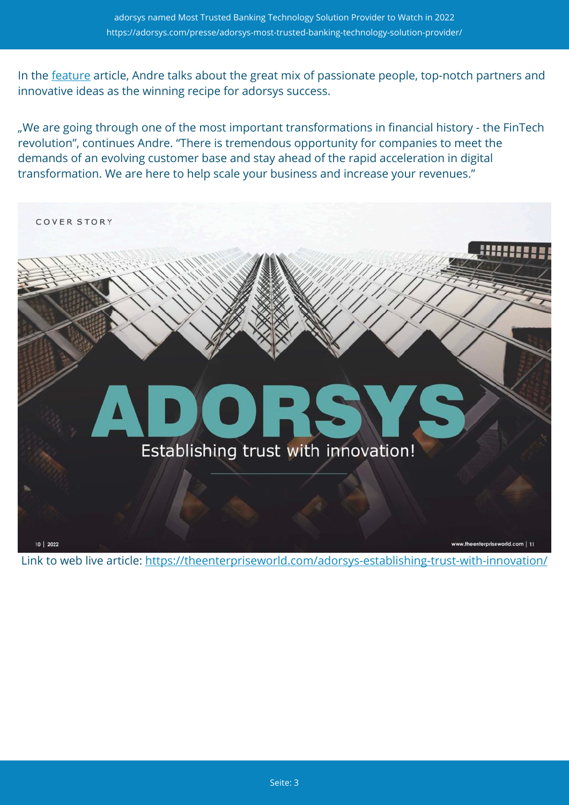In the [feature](https://theenterpriseworld.com/the-most-trusted-banking-technology-solution-providers-to-watch-in-2022/) article, Andre talks about the great mix of passionate people, top-notch partners and innovative ideas as the winning recipe for adorsys success.

"We are going through one of the most important transformations in financial history - the FinTech revolution", continues Andre. "There is tremendous opportunity for companies to meet the demands of an evolving customer base and stay ahead of the rapid acceleration in digital transformation. We are here to help scale your business and increase your revenues."



Link to web live article:<https://theenterpriseworld.com/adorsys-establishing-trust-with-innovation/>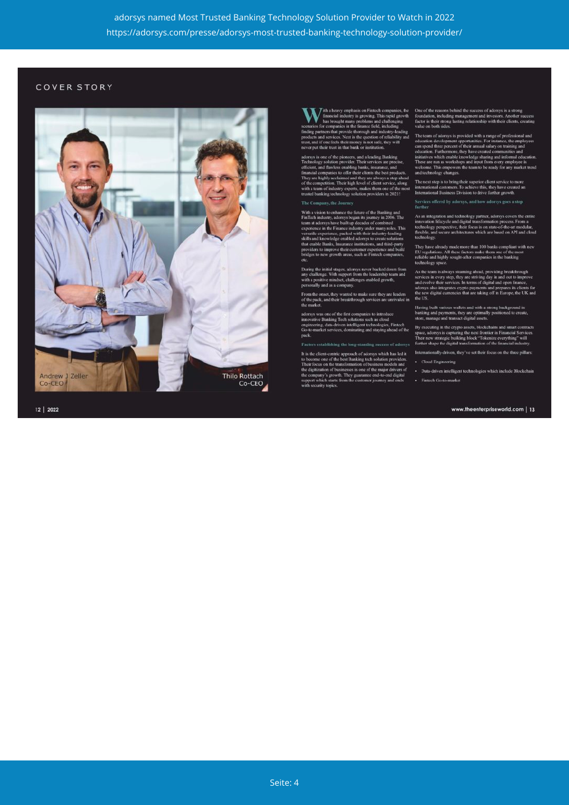### COVER STORY



12 | 2022

tranty emphasis on Firthech companies, the<br>sial industry is growing. This rapid growth<br>couplt many problems and challenging<br>apariss in the firtance field, including<br>a pariss in the firtance field including<br>at provide throu

ar put their trust in that onde or institution.<br>sys is one of the pioneers, and a leading Banking<br>anology solution provider. Their services are precise,<br>ient, and flawless entabling banks, insurance, and<br>neitial companies

#### The Company, the Journey

ith a vision to enhance the future of the Banking and<br>Tech industry, adorsys began its journey in 2006. The<br>man at adorsys have built up decades of combined<br>perience in the Finance industry under many roles. This<br>perience hird-party<br>: and build ...<br>≀ th mprove their customer expe<br>v erowth areas, such as Fint

uring the initial stages, adorsys never backed down from<br>by challenge. With support from the leadership team and<br>ith a positive mindset, challenges enabled growth,<br>croscally and as a company.

a the onset, they wanted to make sure they are leaders<br>e pack, and their breakthrough services are unrivaled in

was one of the first companies to introduce<br>or Banking Tech solutions such as cloud<br>ing, data-driven intelligent technologies, Fintech<br>arket services, dominating and staying ahead of the

#### hing the long-standing success of adors:

nt-centric approach of adorsys which has led it<br>are of the best Banking tech solution providers.<br>on the transformation of business models and<br>ion of basinesses is one of the major drivers of tan.

One of the reasons behind the success of adorsys is a strong<br>original method in the diagram strong factor is their strong lasting relationship with their clients<br>value on both sides.

value on toom suces,<br>The team of adorsys is provided with a range of professional and<br>clucation development opportunities. For instance, the employees<br>can speal three percent of their annual salary on training and<br>educatio

The next step is to bring their superior client service to more international customers. To achieve this, they have created an International Business Division to drive further growth.

## Services offered by adorsys, and how adorsys goes a step<br>further

As an integration and technology partner, adors<br>ys covers the entire innovation lifecycle and digital transformation process. From a technology perspective, their focus is on state-of-the-art modular, flexible, and secure

They have already made more than 100 banks compliant<br>EU regulations. All these factors make them one of the m<br>reliable and highly sought-after companies in the banking<br>technology space

As the team is always steaming ahead, providing breakthrough<br>services in every step, they are striving day in and out to improve<br>and evolve their services. In terms of digital and open finance<br>adorsys also integrates cryp

Having built various wallets and with a strong background in<br>banking and payments, they are optimally positioned to create,<br>store, manage and transact digital assets.

ecuting in the crypto assets, blockchains and smart contrast adorsys is capturing the next frontier in Financial Service<br>now strategic building block "Tokenize everything" will<br>r shape the digital transformation of the fin r mew.<br>er sike

Internationally-driven, they've set their focus on the three pilla · Cloud Engineering

Data-driven intelligent technologies which include Blockcha Fintech Go-to-market

#### www.theenterpriseworld.com | 13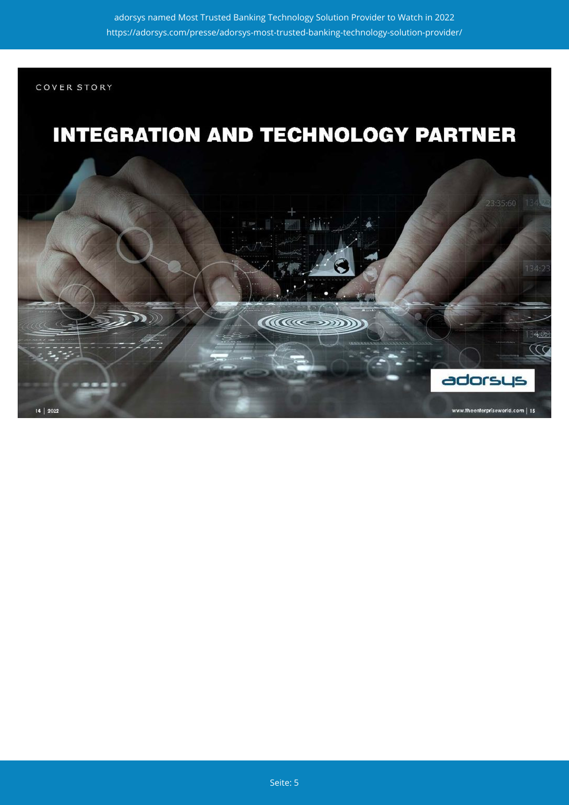COVER STORY

# **INTEGRATION AND TECHNOLOGY PARTNER**